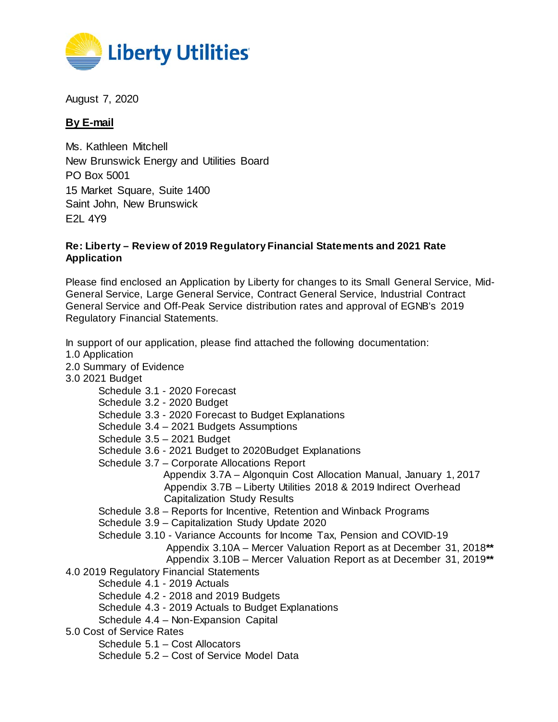

August 7, 2020

## **By E-mail**

Ms. Kathleen Mitchell New Brunswick Energy and Utilities Board PO Box 5001 15 Market Square, Suite 1400 Saint John, New Brunswick E2L 4Y9

## **Re: Liberty – Review of 2019 Regulatory Financial Statements and 2021 Rate Application**

Please find enclosed an Application by Liberty for changes to its Small General Service, Mid-General Service, Large General Service, Contract General Service, Industrial Contract General Service and Off-Peak Service distribution rates and approval of EGNB's 2019 Regulatory Financial Statements.

In support of our application, please find attached the following documentation:

- 1.0 Application
- 2.0 Summary of Evidence
- 3.0 2021 Budget
	- Schedule 3.1 2020 Forecast
	- Schedule 3.2 2020 Budget
	- Schedule 3.3 2020 Forecast to Budget Explanations
	- Schedule 3.4 2021 Budgets Assumptions
	- Schedule 3.5 2021 Budget
	- Schedule 3.6 2021 Budget to 2020Budget Explanations
	- Schedule 3.7 Corporate Allocations Report
		- Appendix 3.7A Algonquin Cost Allocation Manual, January 1, 2017 Appendix 3.7B – Liberty Utilities 2018 & 2019 Indirect Overhead Capitalization Study Results
	- Schedule 3.8 Reports for Incentive, Retention and Winback Programs
	- Schedule 3.9 Capitalization Study Update 2020
	- Schedule 3.10 Variance Accounts for Income Tax, Pension and COVID-19
		- Appendix 3.10A Mercer Valuation Report as at December 31, 2018**\*\***
		- Appendix 3.10B Mercer Valuation Report as at December 31, 2019**\*\***
- 4.0 2019 Regulatory Financial Statements
	- Schedule 4.1 2019 Actuals
	- Schedule 4.2 2018 and 2019 Budgets
	- Schedule 4.3 2019 Actuals to Budget Explanations
	- Schedule 4.4 Non-Expansion Capital
- 5.0 Cost of Service Rates
	- Schedule 5.1 Cost Allocators
	- Schedule 5.2 Cost of Service Model Data